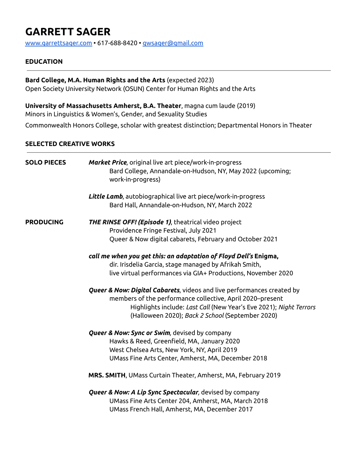# **GARRETT SAGER**

[www.garrettsager.com](http://www.garrettsager.com) • 617-688-8420 • [gwsager@gmail.com](mailto:gwsager@gmail.com)

## **EDUCATION**

# **Bard College, M.A. Human Rights and the Arts** (expected 2023)

Open Society University Network (OSUN) Center for Human Rights and the Arts

**University of Massachusetts Amherst, B.A. Theater**, magna cum laude (2019) Minors in Linguistics & Women's, Gender, and Sexuality Studies

Commonwealth Honors College, scholar with greatest distinction; Departmental Honors in Theater

#### **SELECTED CREATIVE WORKS**

| <b>SOLO PIECES</b> | <b>Market Price</b> , original live art piece/work-in-progress<br>Bard College, Annandale-on-Hudson, NY, May 2022 (upcoming;<br>work-in-progress) |
|--------------------|---------------------------------------------------------------------------------------------------------------------------------------------------|
|                    | Little Lamb, autobiographical live art piece/work-in-progress                                                                                     |
|                    | Bard Hall, Annandale-on-Hudson, NY, March 2022                                                                                                    |
| <b>PRODUCING</b>   | <b>THE RINSE OFF! (Episode 1)</b> , theatrical video project                                                                                      |
|                    | Providence Fringe Festival, July 2021                                                                                                             |
|                    | Queer & Now digital cabarets, February and October 2021                                                                                           |
|                    | call me when you get this: an adaptation of Floyd Dell's Enigma,                                                                                  |
|                    | dir. Irisdelia Garcia, stage managed by Afrikah Smith,                                                                                            |
|                    | live virtual performances via GIA+ Productions, November 2020                                                                                     |
|                    | Queer & Now: Digital Cabarets, videos and live performances created by                                                                            |
|                    | members of the performance collective, April 2020–present                                                                                         |
|                    | Highlights include: Last Call (New Year's Eve 2021); Night Terrors                                                                                |
|                    | (Halloween 2020); Back 2 School (September 2020)                                                                                                  |
|                    | <b>Queer &amp; Now: Sync or Swim</b> , devised by company                                                                                         |
|                    | Hawks & Reed, Greenfield, MA, January 2020                                                                                                        |
|                    | West Chelsea Arts, New York, NY, April 2019                                                                                                       |
|                    | UMass Fine Arts Center, Amherst, MA, December 2018                                                                                                |
|                    | MRS. SMITH, UMass Curtain Theater, Amherst, MA, February 2019                                                                                     |
|                    | <b>Queer &amp; Now: A Lip Sync Spectacular</b> , devised by company                                                                               |
|                    | UMass Fine Arts Center 204, Amherst, MA, March 2018                                                                                               |
|                    | UMass French Hall, Amherst, MA, December 2017                                                                                                     |
|                    |                                                                                                                                                   |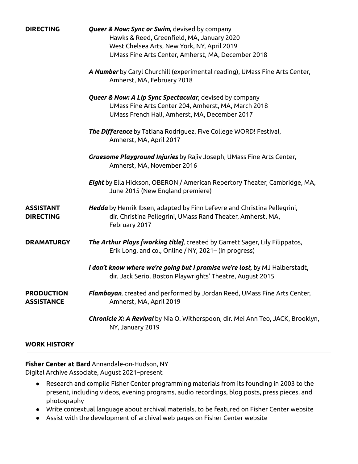| <b>DIRECTING</b>                       | <b>Queer &amp; Now: Sync or Swim,</b> devised by company                                                                                                 |
|----------------------------------------|----------------------------------------------------------------------------------------------------------------------------------------------------------|
|                                        | Hawks & Reed, Greenfield, MA, January 2020                                                                                                               |
|                                        | West Chelsea Arts, New York, NY, April 2019                                                                                                              |
|                                        | UMass Fine Arts Center, Amherst, MA, December 2018                                                                                                       |
|                                        | A Number by Caryl Churchill (experimental reading), UMass Fine Arts Center,                                                                              |
|                                        | Amherst, MA, February 2018                                                                                                                               |
|                                        | <b>Queer &amp; Now: A Lip Sync Spectacular</b> , devised by company                                                                                      |
|                                        | UMass Fine Arts Center 204, Amherst, MA, March 2018                                                                                                      |
|                                        | UMass French Hall, Amherst, MA, December 2017                                                                                                            |
|                                        | The Difference by Tatiana Rodriguez, Five College WORD! Festival,<br>Amherst, MA, April 2017                                                             |
|                                        |                                                                                                                                                          |
|                                        | Gruesome Playground Injuries by Rajiv Joseph, UMass Fine Arts Center,                                                                                    |
|                                        | Amherst, MA, November 2016                                                                                                                               |
|                                        | <b>Eight</b> by Ella Hickson, OBERON / American Repertory Theater, Cambridge, MA,<br>June 2015 (New England premiere)                                    |
| <b>ASSISTANT</b><br><b>DIRECTING</b>   | Hedda by Henrik Ibsen, adapted by Finn Lefevre and Christina Pellegrini,<br>dir. Christina Pellegrini, UMass Rand Theater, Amherst, MA,<br>February 2017 |
| <b>DRAMATURGY</b>                      | The Arthur Plays [working title], created by Garrett Sager, Lily Filippatos,<br>Erik Long, and co., Online / NY, 2021 - (in progress)                    |
|                                        | <i>i don't know where we're going but i promise we're lost</i> , by MJ Halberstadt,<br>dir. Jack Serio, Boston Playwrights' Theatre, August 2015         |
| <b>PRODUCTION</b><br><b>ASSISTANCE</b> | Flamboyan, created and performed by Jordan Reed, UMass Fine Arts Center,<br>Amherst, MA, April 2019                                                      |
|                                        | Chronicle X: A Revival by Nia O. Witherspoon, dir. Mei Ann Teo, JACK, Brooklyn,<br>NY, January 2019                                                      |

## **WORK HISTORY**

**Fisher Center at Bard** Annandale-on-Hudson, NY Digital Archive Associate, August 2021–present

- Research and compile Fisher Center programming materials from its founding in 2003 to the present, including videos, evening programs, audio recordings, blog posts, press pieces, and photography
- Write contextual language about archival materials, to be featured on Fisher Center website
- Assist with the development of archival web pages on Fisher Center website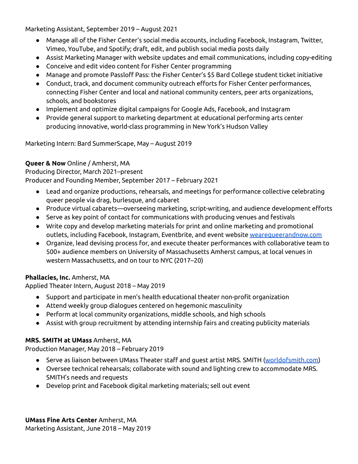Marketing Assistant, September 2019 – August 2021

- Manage all of the Fisher Center's social media accounts, including Facebook, Instagram, Twitter, Vimeo, YouTube, and Spotify; draft, edit, and publish social media posts daily
- Assist Marketing Manager with website updates and email communications, including copy-editing
- Conceive and edit video content for Fisher Center programming
- Manage and promote Passloff Pass: the Fisher Center's \$5 Bard College student ticket initiative
- Conduct, track, and document community outreach efforts for Fisher Center performances, connecting Fisher Center and local and national community centers, peer arts organizations, schools, and bookstores
- Implement and optimize digital campaigns for Google Ads, Facebook, and Instagram
- Provide general support to marketing department at educational performing arts center producing innovative, world-class programming in New York's Hudson Valley

Marketing Intern: Bard SummerScape, May – August 2019

# **Queer & Now** Online / Amherst, MA

Producing Director, March 2021–present

Producer and Founding Member, September 2017 – February 2021

- Lead and organize productions, rehearsals, and meetings for performance collective celebrating queer people via drag, burlesque, and cabaret
- Produce virtual cabarets—overseeing marketing, script-writing, and audience development efforts
- Serve as key point of contact for communications with producing venues and festivals
- Write copy and develop marketing materials for print and online marketing and promotional outlets, including Facebook, Instagram, Eventbrite, and event website [wearequeerandnow.com](http://wearequeerandnow.com/)
- Organize, lead devising process for, and execute theater performances with collaborative team to 500+ audience members on University of Massachusetts Amherst campus, at local venues in western Massachusetts, and on tour to NYC (2017–20)

# **Phallacies, Inc.** Amherst, MA

Applied Theater Intern, August 2018 – May 2019

- Support and participate in men's health educational theater non-profit organization
- Attend weekly group dialogues centered on hegemonic masculinity
- Perform at local community organizations, middle schools, and high schools
- Assist with group recruitment by attending internship fairs and creating publicity materials

# **MRS. SMITH at UMass** Amherst, MA

Production Manager, May 2018 – February 2019

- Serve as liaison between UMass Theater staff and guest artist MRS. SMITH ([worldofsmith.com\)](https://www.worldofsmith.com/)
- Oversee technical rehearsals; collaborate with sound and lighting crew to accommodate MRS. SMITH's needs and requests
- Develop print and Facebook digital marketing materials; sell out event

**UMass Fine Arts Center** Amherst, MA Marketing Assistant, June 2018 – May 2019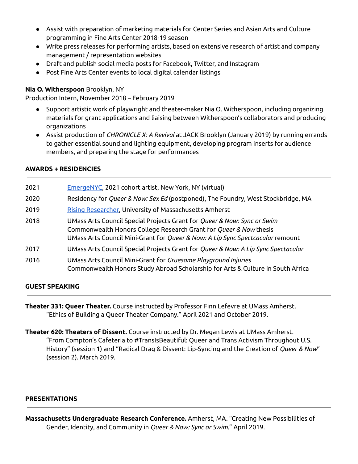- Assist with preparation of marketing materials for Center Series and Asian Arts and Culture programming in Fine Arts Center 2018-19 season
- Write press releases for performing artists, based on extensive research of artist and company management / representation websites
- Draft and publish social media posts for Facebook, Twitter, and Instagram
- Post Fine Arts Center events to local digital calendar listings

# **Nia O. Witherspoon** Brooklyn, NY

Production Intern, November 2018 – February 2019

- Support artistic work of playwright and theater-maker Nia O. Witherspoon, including organizing materials for grant applications and liaising between Witherspoon's collaborators and producing organizations
- Assist production of *CHRONICLE X: A Revival* at JACK Brooklyn (January 2019) by running errands to gather essential sound and lighting equipment, developing program inserts for audience members, and preparing the stage for performances

## **AWARDS + RESIDENCIES**

| EmergeNYC, 2021 cohort artist, New York, NY (virtual)                                                                                                                                                                          |
|--------------------------------------------------------------------------------------------------------------------------------------------------------------------------------------------------------------------------------|
| Residency for Queer & Now: Sex Ed (postponed), The Foundry, West Stockbridge, MA                                                                                                                                               |
| Rising Researcher, University of Massachusetts Amherst                                                                                                                                                                         |
| UMass Arts Council Special Projects Grant for Queer & Now: Sync or Swim<br>Commonwealth Honors College Research Grant for Queer & Now thesis<br>UMass Arts Council Mini-Grant for Queer & Now: A Lip Sync Spectcacular remount |
| UMass Arts Council Special Projects Grant for Queer & Now: A Lip Sync Spectacular                                                                                                                                              |
| UMass Arts Council Mini-Grant for Gruesome Playground Injuries<br>Commonwealth Honors Study Abroad Scholarship for Arts & Culture in South Africa                                                                              |
|                                                                                                                                                                                                                                |

# **GUEST SPEAKING**

**Theater 331: Queer Theater.** Course instructed by Professor Finn Lefevre at UMass Amherst. "Ethics of Building a Queer Theater Company." April 2021 and October 2019.

**Theater 620: Theaters of Dissent.** Course instructed by Dr. Megan Lewis at UMass Amherst. "From Compton's Cafeteria to #TransIsBeautiful: Queer and Trans Activism Throughout U.S. History" (session 1) and "Radical Drag & Dissent: Lip-Syncing and the Creation of *Queer & Now*" (session 2). March 2019.

## **PRESENTATIONS**

**Massachusetts Undergraduate Research Conference.** Amherst, MA. "Creating New Possibilities of Gender, Identity, and Community in *Queer & Now: Sync or Swim.*" April 2019.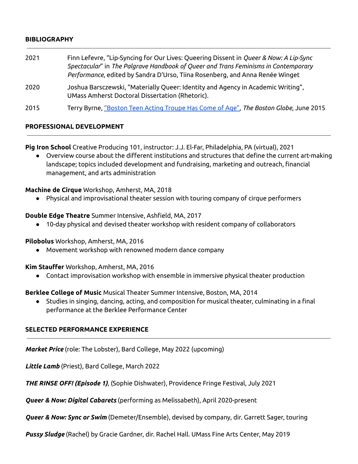#### **BIBLIOGRAPHY**

- 2021 Finn Lefevre, "Lip-Syncing for Our Lives: Queering Dissent in *Queer & Now: A Lip-Sync Spectacular*" in *The Palgrave Handbook of Queer and Trans Feminisms in Contemporary Performance*, edited by Sandra D'Urso, Tiina Rosenberg, and Anna Renée Winget
- 2020 Joshua Barsczewski, "Materially Queer: Identity and Agency in Academic Writing", UMass Amherst Doctoral Dissertation (Rhetoric).
- 2015 Terry Byrne, ["Boston](https://www.bostonglobe.com/arts/theater-art/2015/06/04/boston-teen-acting-troupe-has-come-age/uHG5YmeosVSujATIebISmM/story.html) Teen Acting Troupe Has Come of Age", *The Boston Globe*, June 2015

#### **PROFESSIONAL DEVELOPMENT**

**Pig Iron School** Creative Producing 101, instructor: J.J. El-Far, Philadelphia, PA (virtual), 2021

Overview course about the different institutions and structures that define the current art-making landscape; topics included development and fundraising, marketing and outreach, financial management, and arts administration

**Machine de Cirque** Workshop, Amherst, MA, 2018

● Physical and improvisational theater session with touring company of cirque performers

#### **Double Edge Theatre** Summer Intensive, Ashfield, MA, 2017

● 10-day physical and devised theater workshop with resident company of collaborators

**Pilobolus** Workshop, Amherst, MA, 2016

● Movement workshop with renowned modern dance company

**Kim Stauffer** Workshop, Amherst, MA, 2016

● Contact improvisation workshop with ensemble in immersive physical theater production

**Berklee College of Music** Musical Theater Summer Intensive, Boston, MA, 2014

Studies in singing, dancing, acting, and composition for musical theater, culminating in a final performance at the Berklee Performance Center

## **SELECTED PERFORMANCE EXPERIENCE**

*Market Price* (role: The Lobster), Bard College, May 2022 (upcoming)

*Little Lamb* (Priest), Bard College, March 2022

*THE RINSE OFF! (Episode 1)*, (Sophie Dishwater), Providence Fringe Festival, July 2021

*Queer & Now: Digital Cabarets* (performing as Melissabeth), April 2020-present

*Queer & Now: Sync or Swim* (Demeter/Ensemble), devised by company, dir. Garrett Sager, touring

*Pussy Sludge* (Rachel) by Gracie Gardner, dir. Rachel Hall. UMass Fine Arts Center, May 2019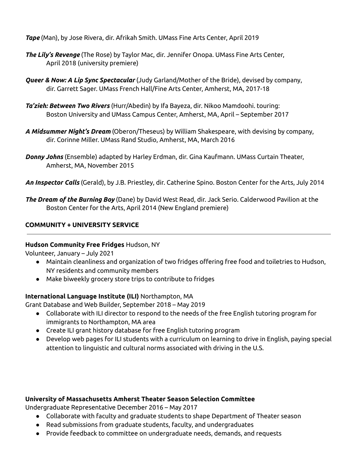*Tape* (Man), by Jose Rivera, dir. Afrikah Smith. UMass Fine Arts Center, April 2019

- *The Lily's Revenge* (The Rose) by Taylor Mac, dir. Jennifer Onopa. UMass Fine Arts Center, April 2018 (university premiere)
- *Queer & Now: A Lip Sync Spectacular* (Judy Garland/Mother of the Bride), devised by company, dir. Garrett Sager. UMass French Hall/Fine Arts Center, Amherst, MA, 2017-18
- *Ta'zieh: Between Two Rivers* (Hurr/Abedin) by Ifa Bayeza, dir. Nikoo Mamdoohi. touring: Boston University and UMass Campus Center, Amherst, MA, April – September 2017
- *A Midsummer Night's Dream* (Oberon/Theseus) by William Shakespeare, with devising by company, dir. Corinne Miller. UMass Rand Studio, Amherst, MA, March 2016
- *Donny Johns* (Ensemble) adapted by Harley Erdman, dir. Gina Kaufmann. UMass Curtain Theater, Amherst, MA, November 2015
- *An Inspector Calls* (Gerald), by J.B. Priestley, dir. Catherine Spino. Boston Center for the Arts, July 2014
- *The Dream of the Burning Boy* (Dane) by David West Read, dir. Jack Serio. Calderwood Pavilion at the Boston Center for the Arts, April 2014 (New England premiere)

# **COMMUNITY + UNIVERSITY SERVICE**

## **Hudson Community Free Fridges** Hudson, NY

Volunteer, January – July 2021

- Maintain cleanliness and organization of two fridges offering free food and toiletries to Hudson, NY residents and community members
- Make biweekly grocery store trips to contribute to fridges

# **International Language Institute (ILI)** Northampton, MA

Grant Database and Web Builder, September 2018 – May 2019

- Collaborate with ILI director to respond to the needs of the free English tutoring program for immigrants to Northampton, MA area
- Create ILI grant history database for free English tutoring program
- Develop web pages for ILI students with a curriculum on learning to drive in English, paying special attention to linguistic and cultural norms associated with driving in the U.S.

## **University of Massachusetts Amherst Theater Season Selection Committee**

Undergraduate Representative December 2016 – May 2017

- Collaborate with faculty and graduate students to shape Department of Theater season
- Read submissions from graduate students, faculty, and undergraduates
- Provide feedback to committee on undergraduate needs, demands, and requests